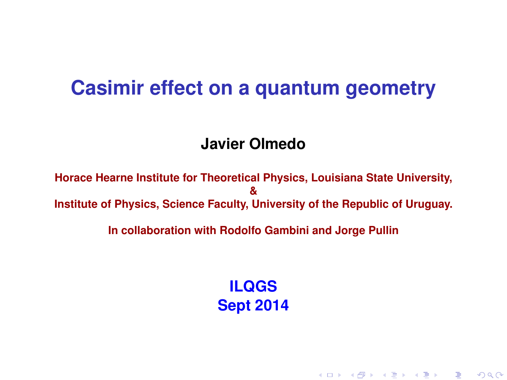#### **Casimir effect on a quantum geometry**

#### **Javier Olmedo**

**Horace Hearne Institute for Theoretical Physics, Louisiana State University, & Institute of Physics, Science Faculty, University of the Republic of Uruguay.**

**In collaboration with Rodolfo Gambini and Jorge Pullin**

**ILQGS Sept 2014**

K ロ ▶ K @ ▶ K 할 ▶ K 할 ▶ 이 할 → 900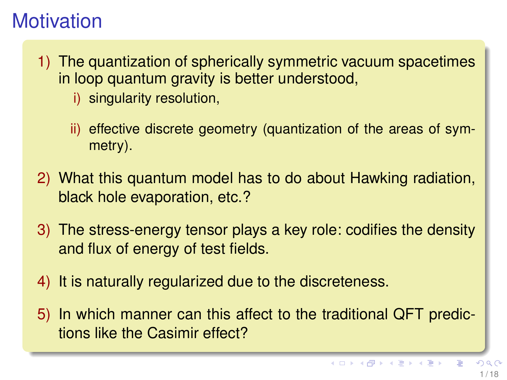# **Motivation**

- 1) The quantization of spherically symmetric vacuum spacetimes in loop quantum gravity is better understood,
	- i) singularity resolution,
	- ii) effective discrete geometry (quantization of the areas of symmetry).
- 2) What this quantum model has to do about Hawking radiation, black hole evaporation, etc.?
- 3) The stress-energy tensor plays a key role: codifies the density and flux of energy of test fields.
- 4) It is naturally regularized due to the discreteness.
- 5) In which manner can this affect to the traditional QFT predictions like the Casimir effect?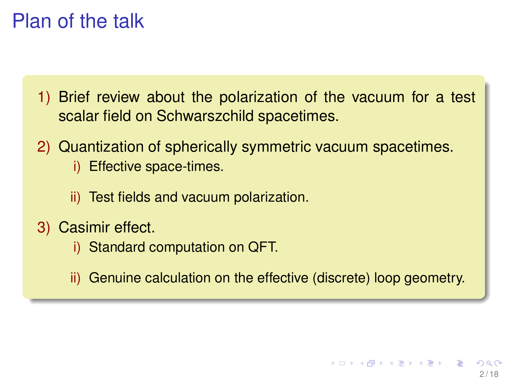# Plan of the talk

- 1) Brief review about the polarization of the vacuum for a test scalar field on Schwarszchild spacetimes.
- 2) Quantization of spherically symmetric vacuum spacetimes.
	- i) Effective space-times.
	- ii) Test fields and vacuum polarization.
- 3) Casimir effect.
	- i) Standard computation on QFT.
	- ii) Genuine calculation on the effective (discrete) loop geometry.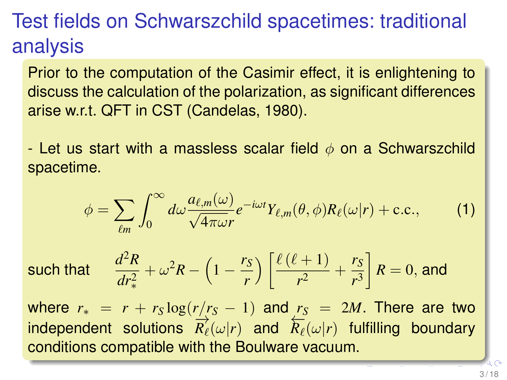# Test fields on Schwarszchild spacetimes: traditional analysis

Prior to the computation of the Casimir effect, it is enlightening to discuss the calculation of the polarization, as significant differences arise w.r.t. QFT in CST (Candelas, 1980).

- Let us start with a massless scalar field  $\phi$  on a Schwarszchild spacetime.

$$
\phi = \sum_{\ell m} \int_0^\infty d\omega \frac{a_{\ell,m}(\omega)}{\sqrt{4\pi\omega}r} e^{-i\omega t} Y_{\ell,m}(\theta,\phi) R_\ell(\omega|r) + \text{c.c.},\tag{1}
$$

such that

$$
\frac{d^2R}{dr_*^2} + \omega^2 R - \left(1 - \frac{r_S}{r}\right) \left[\frac{\ell(\ell+1)}{r^2} + \frac{r_S}{r^3}\right]R = 0, \text{ and}
$$

where  $r_* = r + r_S \log(r/r_S - 1)$  and  $r_S = 2M$ . There are two independent solutions  $\overline{R}_{\ell}^{2}(\omega|r)$  and  $\overline{R}_{\ell}(\omega|r)$  fulfilling boundary conditions compatible with the Boulware vacuum.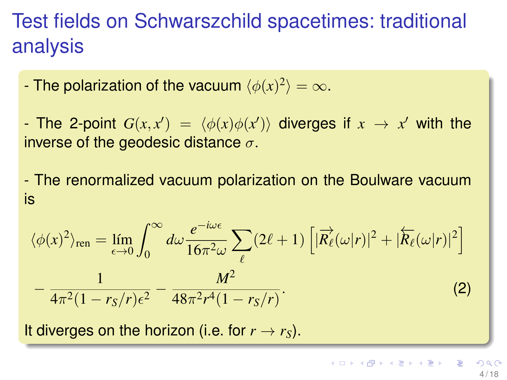# Test fields on Schwarszchild spacetimes: traditional analysis

- The polarization of the vacuum  $\langle \phi(x)^2 \rangle = \infty$ .

- The 2-point  $G(x, x') = \langle \phi(x) \phi(x') \rangle$  diverges if  $x \to x'$  with the inverse of the geodesic distance  $\sigma$ .

- The renormalized vacuum polarization on the Boulware vacuum is

$$
\langle \phi(x)^2 \rangle_{\text{ren}} = \lim_{\epsilon \to 0} \int_0^\infty d\omega \frac{e^{-i\omega \epsilon}}{16\pi^2 \omega} \sum_{\ell} (2\ell + 1) \left[ |\vec{R}_{\ell}(\omega|r)|^2 + |\overleftarrow{R}_{\ell}(\omega|r)|^2 \right] - \frac{1}{4\pi^2 (1 - r_S/r)\epsilon^2} - \frac{M^2}{48\pi^2 r^4 (1 - r_S/r)}.
$$
 (2)

<span id="page-4-0"></span>It diverges on the horizon (i.e. for  $r \rightarrow r_S$ ).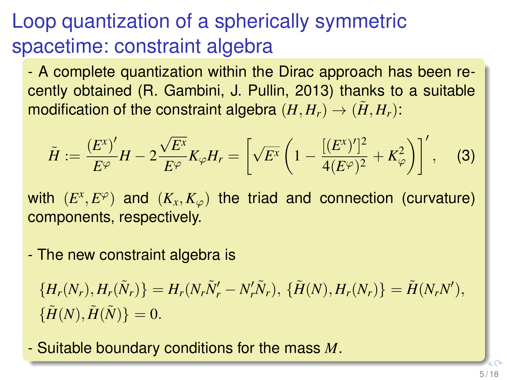# Loop quantization of a spherically symmetric spacetime: constraint algebra

- A complete quantization within the Dirac approach has been recently obtained (R. Gambini, J. Pullin, 2013) thanks to a suitable modification of the constraint algebra  $(H, H_r) \rightarrow (\tilde{H}, H_r)$ :

$$
\tilde{H} := \frac{(E^{x})'}{E^{\varphi}}H - 2\frac{\sqrt{E^{x}}}{E^{\varphi}}K_{\varphi}H_{r} = \left[\sqrt{E^{x}}\left(1 - \frac{[(E^{x})']^{2}}{4(E^{\varphi})^{2}} + K_{\varphi}^{2}\right)\right]', \quad (3)
$$

with  $(E^x, E^\varphi)$  and  $(K_x, K_\varphi)$  the triad and connection (curvature) components, respectively.

- The new constraint algebra is

$$
\{H_r(N_r), H_r(\tilde{N}_r)\} = H_r(N_r\tilde{N}_r' - N_r'\tilde{N}_r), \ \{\tilde{H}(N), H_r(N_r)\} = \tilde{H}(N_rN'),
$$
  

$$
\{\tilde{H}(N), \tilde{H}(\tilde{N})\} = 0.
$$

- Suitable boundary conditions for the mass *[M](#page-4-0)*.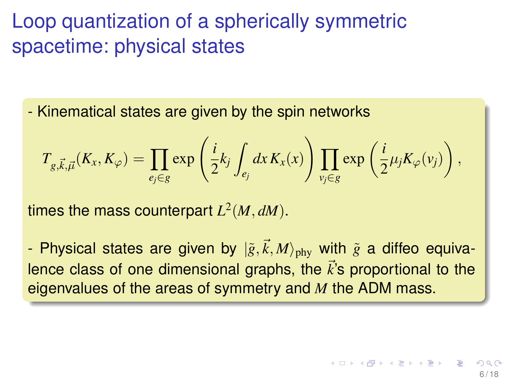### Loop quantization of a spherically symmetric spacetime: physical states

- Kinematical states are given by the spin networks

$$
T_{g,\vec{k},\vec{\mu}}(K_x,K_{\varphi}) = \prod_{e_j \in g} \exp\left(\frac{i}{2}k_j \int_{e_j} dx K_x(x)\right) \prod_{v_j \in g} \exp\left(\frac{i}{2} \mu_j K_{\varphi}(v_j)\right),
$$

times the mass counterpart  $L^2(M, dM)$ .

- Physical states are given by  $|\tilde{g}, \vec{k}, M\rangle_{\rm phy}$  with  $\tilde{g}$  a diffeo equivalence class of one dimensional graphs, the  $\vec{k}$ 's proportional to the eigenvalues of the areas of symmetry and *M* the ADM mass.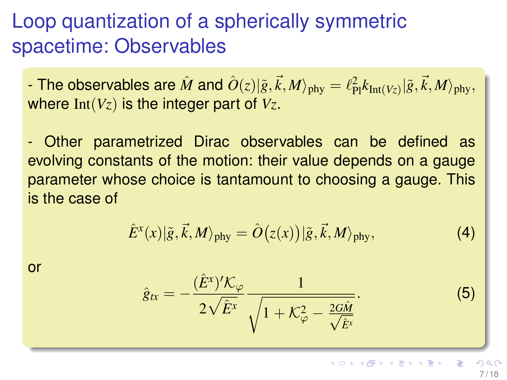# Loop quantization of a spherically symmetric spacetime: Observables

- The observables are  $\hat{M}$  and  $\hat{O}(z)|\tilde{g},\vec{k},M\rangle_{\rm phy}=\ell_{\rm Pl}^2k_{\rm Int(Vz)}|\tilde{g},\vec{k},M\rangle_{\rm phy},$ where Int(*Vz*) is the integer part of *Vz*.

- Other parametrized Dirac observables can be defined as evolving constants of the motion: their value depends on a gauge parameter whose choice is tantamount to choosing a gauge. This is the case of

$$
\hat{E}^{x}(x)|\tilde{g},\vec{k},M\rangle_{\rm phy} = \hat{O}\big(z(x)\big)|\tilde{g},\vec{k},M\rangle_{\rm phy},\tag{4}
$$

or

$$
\hat{g}_{tx} = -\frac{(\hat{E}^x)'\mathcal{K}_{\varphi}}{2\sqrt{\hat{E}^x}} \frac{1}{\sqrt{1 + \mathcal{K}_{\varphi}^2 - \frac{2G\hat{M}}{\sqrt{\hat{E}^x}}}}.
$$
(5)

 $\left\{ \begin{array}{ccc} 1 & 0 & 0 \\ 0 & 1 & 0 \end{array} \right. \times \left\{ \begin{array}{ccc} 0 & 0 & 0 \\ 0 & 0 & 0 \end{array} \right. \times \left\{ \begin{array}{ccc} 0 & 0 & 0 \\ 0 & 0 & 0 \end{array} \right.$ 7 / 18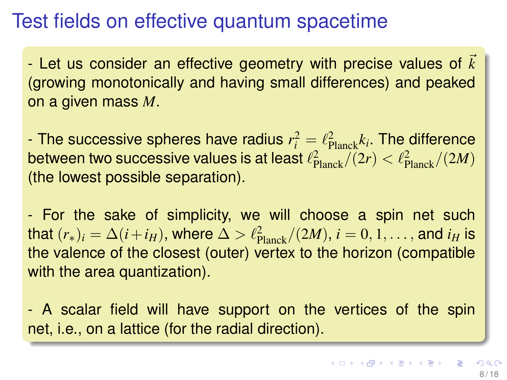### Test fields on effective quantum spacetime

 $-$  Let us consider an effective geometry with precise values of  $k$ (growing monotonically and having small differences) and peaked on a given mass *M*.

- The successive spheres have radius  $r_i^2 = \ell_{\text{Planck}}^2 k_i$ . The difference between two successive values is at least  $\ell_{\text{Planck}}^2/(2r) < \ell_{\text{Planck}}^2/(2M)$ (the lowest possible separation).

- For the sake of simplicity, we will choose a spin net such that  $(r_*)_i = \Delta (i + i_H),$  where  $\Delta > \ell_{\rm Planck}^2/(2M),$   $i = 0, 1, \ldots,$  and  $i_H$  is the valence of the closest (outer) vertex to the horizon (compatible with the area quantization).

- A scalar field will have support on the vertices of the spin net, i.e., on a lattice (for the radial direction).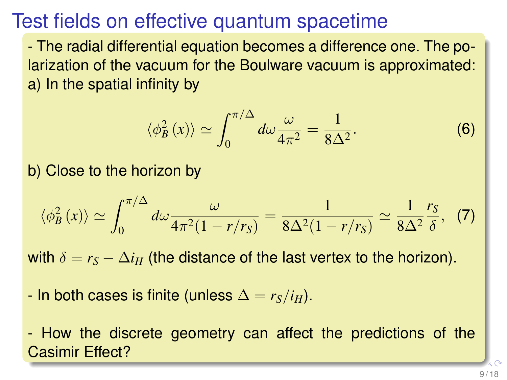# Test fields on effective quantum spacetime

- The radial differential equation becomes a difference one. The polarization of the vacuum for the Boulware vacuum is approximated: a) In the spatial infinity by

$$
\langle \phi_B^2(x) \rangle \simeq \int_0^{\pi/\Delta} d\omega \frac{\omega}{4\pi^2} = \frac{1}{8\Delta^2}.
$$
 (6)

b) Close to the horizon by

$$
\langle \phi_B^2(x) \rangle \simeq \int_0^{\pi/\Delta} d\omega \frac{\omega}{4\pi^2 (1 - r/r_S)} = \frac{1}{8\Delta^2 (1 - r/r_S)} \simeq \frac{1}{8\Delta^2} \frac{r_S}{\delta}, \tag{7}
$$

with  $\delta = r_S - \Delta i_H$  (the distance of the last vertex to the horizon).

- In both cases is finite (unless  $\Delta = r_S/i_H$ ).

- How the discrete geometry can affect the predictions of the Casimir Effect?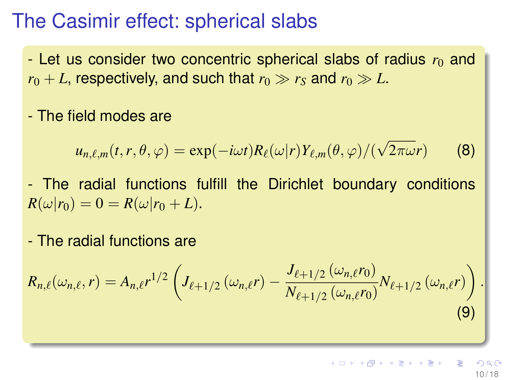#### The Casimir effect: spherical slabs

 $-$  Let us consider two concentric spherical slabs of radius  $r_0$  and  $r_0 + L$ , respectively, and such that  $r_0 \gg r_s$  and  $r_0 \gg L$ .

- The field modes are

$$
u_{n,\ell,m}(t,r,\theta,\varphi) = \exp(-i\omega t)R_{\ell}(\omega|r)Y_{\ell,m}(\theta,\varphi)/(\sqrt{2\pi\omega}r)
$$
 (8)

- The radial functions fulfill the Dirichlet boundary conditions  $R(\omega|r_0) = 0 = R(\omega|r_0 + L).$ 

- The radial functions are

$$
R_{n,\ell}(\omega_{n,\ell},r) = A_{n,\ell}r^{1/2}\left(J_{\ell+1/2}(\omega_{n,\ell}r) - \frac{J_{\ell+1/2}(\omega_{n,\ell}r_0)}{N_{\ell+1/2}(\omega_{n,\ell}r_0)}N_{\ell+1/2}(\omega_{n,\ell}r)\right).
$$
\n(9)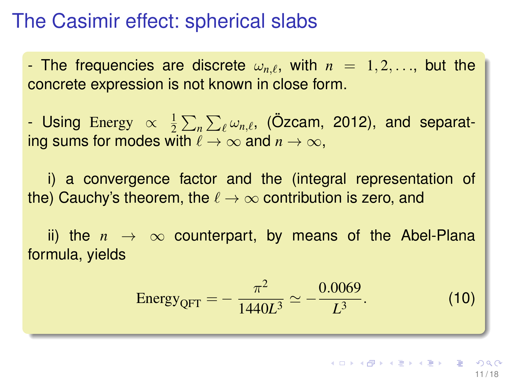#### The Casimir effect: spherical slabs

- The frequencies are discrete  $\omega_{n,\ell}$ , with  $n = 1, 2, \ldots$ , but the concrete expression is not known in close form.

- Using Energy  $\propto \frac{1}{2}$  $\frac{1}{2} \sum_n \sum_\ell \omega_{n,\ell}$ , (Özcam, 2012), and separating sums for modes with  $\ell \to \infty$  and  $n \to \infty$ ,

i) a convergence factor and the (integral representation of the) Cauchy's theorem, the  $\ell \to \infty$  contribution is zero, and

ii) the  $n \to \infty$  counterpart, by means of the Abel-Plana formula, yields

Energy<sub>QFT</sub> = 
$$
-\frac{\pi^2}{1440L^3} \simeq -\frac{0.0069}{L^3}
$$
. (10)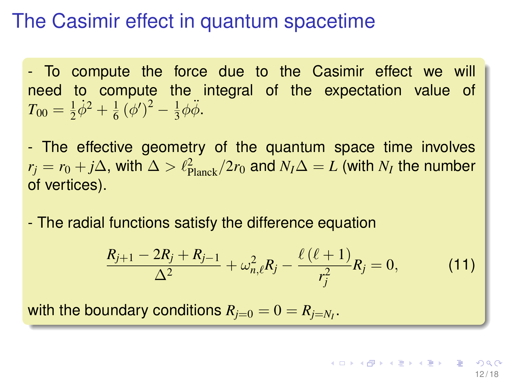- To compute the force due to the Casimir effect we will need to compute the integral of the expectation value of  $T_{00}=\frac{1}{2}$  $rac{1}{2}\dot{\phi}^2 + \frac{1}{6}$  $\frac{1}{6} (\phi')^2 - \frac{1}{3}$  $\frac{1}{3}\phi\ddot{\phi}$ .

- The effective geometry of the quantum space time involves  $r_j = r_0 + j\Delta$ , with  $\Delta > \ell_{\rm Planck}^2/2r_0$  and  $N_I\Delta = L$  (with  $N_I$  the number of vertices).

- The radial functions satisfy the difference equation

$$
\frac{R_{j+1} - 2R_j + R_{j-1}}{\Delta^2} + \omega_{n,\ell}^2 R_j - \frac{\ell(\ell+1)}{r_j^2} R_j = 0, \qquad (11)
$$

with the boundary conditions  $R_{j=0}=0=R_{j=N_I}.$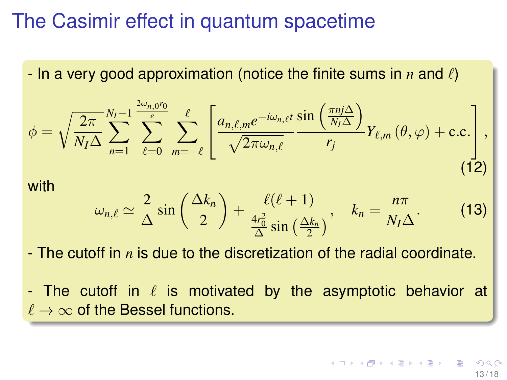- In a very good approximation (notice the finite sums in  $n$  and  $\ell$ )

$$
\phi = \sqrt{\frac{2\pi}{N_I \Delta}} \sum_{n=1}^{N_I-1} \sum_{\ell=0}^{\frac{2\omega_{n,0}r_0}{\epsilon}} \sum_{m=-\ell}^{\ell} \left[ \frac{a_{n,\ell,m}e^{-i\omega_{n,\ell}t}}{\sqrt{2\pi\omega_{n,\ell}}} \frac{\sin\left(\frac{\pi nj\Delta}{N_I \Delta}\right)}{r_j} Y_{\ell,m}\left(\theta,\varphi\right) + \text{c.c.} \right],\tag{12}
$$

with

$$
\omega_{n,\ell} \simeq \frac{2}{\Delta} \sin\left(\frac{\Delta k_n}{2}\right) + \frac{\ell(\ell+1)}{\frac{4r_0^2}{\Delta} \sin\left(\frac{\Delta k_n}{2}\right)}, \quad k_n = \frac{n\pi}{N_I \Delta}.
$$
 (13)

- The cutoff in *n* is due to the discretization of the radial coordinate.
- The cutoff in  $\ell$  is motivated by the asymptotic behavior at  $\ell \to \infty$  of the Bessel functions.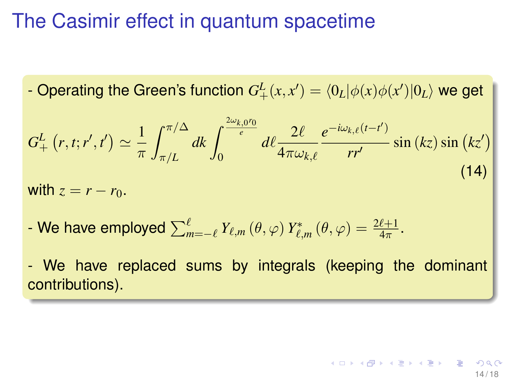- Operating the Green's function  $G_{+}^{L}(x,x')=\langle 0_{L}|\phi(x)\phi(x')|0_{L}\rangle$  we get

$$
G_{+}^{L}(r,t;r',t') \simeq \frac{1}{\pi} \int_{\pi/L}^{\pi/\Delta} dk \int_{0}^{\frac{2\omega_{k,0}r_{0}}{e}} d\ell \frac{2\ell}{4\pi\omega_{k,\ell}} \frac{e^{-i\omega_{k,\ell}(t-t')}}{rr'} \sin(kz) \sin(kz')
$$
\nwith  $z = r - r_{0}$ .

\n(14)

- We have employed  $\sum_{m=-\ell}^{\ell} Y_{\ell,m}(\theta,\varphi) Y_{\ell,m}^*(\theta,\varphi) = \frac{2\ell+1}{4\pi}.$ 

- We have replaced sums by integrals (keeping the dominant contributions).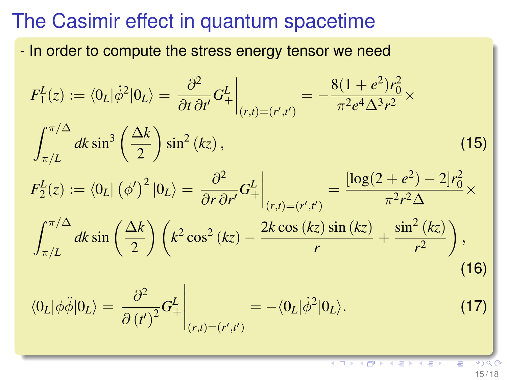- In order to compute the stress energy tensor we need

$$
F_1^L(z) := \langle 0_L | \dot{\phi}^2 | 0_L \rangle = \frac{\partial^2}{\partial t \partial t'} G_+^L \Big|_{(r,t)=(r',t')} = -\frac{8(1+e^2)r_0^2}{\pi^2 e^4 \Delta^3 r^2} \times
$$
  

$$
\int_{\pi/L}^{\pi/\Delta} dk \sin^3 \left(\frac{\Delta k}{2}\right) \sin^2 (kz),
$$
  

$$
F_2^L(z) := \langle 0_L | (\phi')^2 | 0_L \rangle = \frac{\partial^2}{\partial r \partial r'} G_+^L \Big|_{(r,t)=(r',t')} = \frac{[\log(2+e^2) - 2]r_0^2}{\pi^2 r^2 \Delta} \times
$$
  

$$
\int_{\pi/L}^{\pi/\Delta} dk \sin \left(\frac{\Delta k}{2}\right) \left(k^2 \cos^2 (kz) - \frac{2k \cos (kz) \sin (kz)}{r} + \frac{\sin^2 (kz)}{r^2}\right),
$$
  
(16)  

$$
\langle 0_L | \phi \ddot{\phi} | 0_L \rangle = \frac{\partial^2}{\partial (t')^2} G_+^L \Big|_{(r,t)=(r',t')} = -\langle 0_L | \dot{\phi}^2 | 0_L \rangle.
$$

4 D F

15 / 18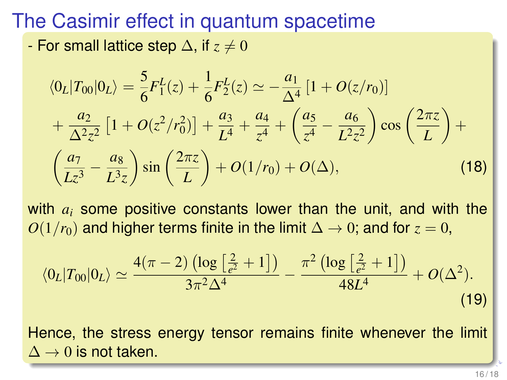- For small lattice step  $\Delta$ , if  $z \neq 0$ 

$$
\langle 0_L | T_{00} | 0_L \rangle = \frac{5}{6} F_1^L(z) + \frac{1}{6} F_2^L(z) \simeq -\frac{a_1}{\Delta^4} [1 + O(z/r_0)] + \frac{a_2}{\Delta^2 z^2} [1 + O(z^2/r_0^2)] + \frac{a_3}{L^4} + \frac{a_4}{z^4} + \left(\frac{a_5}{z^4} - \frac{a_6}{L^2 z^2}\right) \cos\left(\frac{2\pi z}{L}\right) + \left(\frac{a_7}{Lz^3} - \frac{a_8}{L^3 z}\right) \sin\left(\frac{2\pi z}{L}\right) + O(1/r_0) + O(\Delta),
$$
\n(18)

with *a<sup>i</sup>* some positive constants lower than the unit, and with the *O*(1/ $r_0$ ) and higher terms finite in the limit  $\Delta \rightarrow 0$ ; and for  $z = 0$ ,

$$
\langle 0_L | T_{00} | 0_L \rangle \simeq \frac{4(\pi - 2) \left( \log \left[ \frac{2}{e^2} + 1 \right] \right)}{3\pi^2 \Delta^4} - \frac{\pi^2 \left( \log \left[ \frac{2}{e^2} + 1 \right] \right)}{48L^4} + O(\Delta^2).
$$
\n(19)

Hence, the stress energy tensor remains finite whenever the limit  $\Delta \rightarrow 0$  is not taken.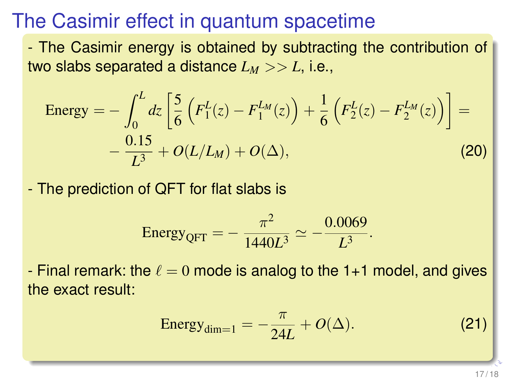- The Casimir energy is obtained by subtracting the contribution of two slabs separated a distance  $L_M >> L$ , i.e.,

Energy = 
$$
- \int_0^L dz \left[ \frac{5}{6} \left( F_1^L(z) - F_1^{L_M}(z) \right) + \frac{1}{6} \left( F_2^L(z) - F_2^{L_M}(z) \right) \right] = - \frac{0.15}{L^3} + O(L/L_M) + O(\Delta),
$$
 (20)

- The prediction of QFT for flat slabs is

Energy<sub>QFT</sub> = 
$$
-\frac{\pi^2}{1440L^3} \simeq -\frac{0.0069}{L^3}
$$
.

- Final remark: the  $\ell = 0$  mode is analog to the 1+1 model, and gives the exact result:

Energy<sub>dim=1</sub> = 
$$
-\frac{\pi}{24L} + O(\Delta)
$$
. (21)